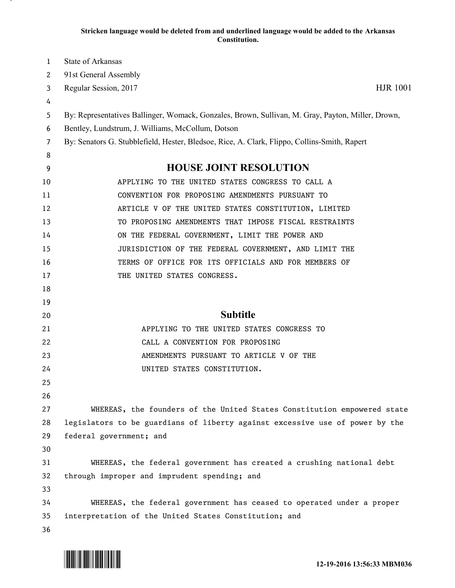## **Stricken language would be deleted from and underlined language would be added to the Arkansas Constitution.**

| 1  | <b>State of Arkansas</b>                                                                          |
|----|---------------------------------------------------------------------------------------------------|
| 2  | 91st General Assembly                                                                             |
| 3  | <b>HJR 1001</b><br>Regular Session, 2017                                                          |
| 4  |                                                                                                   |
| 5  | By: Representatives Ballinger, Womack, Gonzales, Brown, Sullivan, M. Gray, Payton, Miller, Drown, |
| 6  | Bentley, Lundstrum, J. Williams, McCollum, Dotson                                                 |
| 7  | By: Senators G. Stubblefield, Hester, Bledsoe, Rice, A. Clark, Flippo, Collins-Smith, Rapert      |
| 8  |                                                                                                   |
| 9  | <b>HOUSE JOINT RESOLUTION</b>                                                                     |
| 10 | APPLYING TO THE UNITED STATES CONGRESS TO CALL A                                                  |
| 11 | CONVENTION FOR PROPOSING AMENDMENTS PURSUANT TO                                                   |
| 12 | ARTICLE V OF THE UNITED STATES CONSTITUTION, LIMITED                                              |
| 13 | TO PROPOSING AMENDMENTS THAT IMPOSE FISCAL RESTRAINTS                                             |
| 14 | ON THE FEDERAL GOVERNMENT, LIMIT THE POWER AND                                                    |
| 15 | JURISDICTION OF THE FEDERAL GOVERNMENT, AND LIMIT THE                                             |
| 16 | TERMS OF OFFICE FOR ITS OFFICIALS AND FOR MEMBERS OF                                              |
| 17 | THE UNITED STATES CONGRESS.                                                                       |
| 18 |                                                                                                   |
| 19 |                                                                                                   |
| 20 | <b>Subtitle</b>                                                                                   |
| 21 | APPLYING TO THE UNITED STATES CONGRESS TO                                                         |
| 22 | CALL A CONVENTION FOR PROPOSING                                                                   |
| 23 | AMENDMENTS PURSUANT TO ARTICLE V OF THE                                                           |
| 24 | UNITED STATES CONSTITUTION.                                                                       |
| 25 |                                                                                                   |
| 26 |                                                                                                   |
| 27 | WHEREAS, the founders of the United States Constitution empowered state                           |
| 28 | legislators to be guardians of liberty against excessive use of power by the                      |
| 29 | federal government; and                                                                           |
| 30 |                                                                                                   |
| 31 | WHEREAS, the federal government has created a crushing national debt                              |
| 32 | through improper and imprudent spending; and                                                      |
| 33 |                                                                                                   |
| 34 | WHEREAS, the federal government has ceased to operated under a proper                             |
| 35 | interpretation of the United States Constitution; and                                             |
| 36 |                                                                                                   |

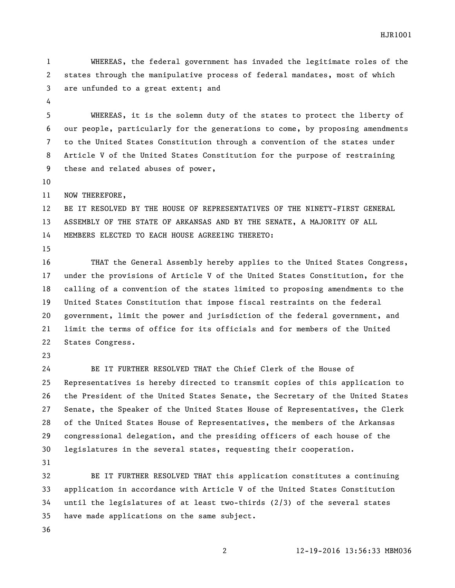WHEREAS, the federal government has invaded the legitimate roles of the states through the manipulative process of federal mandates, most of which are unfunded to a great extent; and

 WHEREAS, it is the solemn duty of the states to protect the liberty of our people, particularly for the generations to come, by proposing amendments to the United States Constitution through a convention of the states under Article V of the United States Constitution for the purpose of restraining these and related abuses of power,

NOW THEREFORE,

 BE IT RESOLVED BY THE HOUSE OF REPRESENTATIVES OF THE NINETY-FIRST GENERAL ASSEMBLY OF THE STATE OF ARKANSAS AND BY THE SENATE, A MAJORITY OF ALL MEMBERS ELECTED TO EACH HOUSE AGREEING THERETO:

 THAT the General Assembly hereby applies to the United States Congress, under the provisions of Article V of the United States Constitution, for the calling of a convention of the states limited to proposing amendments to the United States Constitution that impose fiscal restraints on the federal government, limit the power and jurisdiction of the federal government, and limit the terms of office for its officials and for members of the United States Congress.

 BE IT FURTHER RESOLVED THAT the Chief Clerk of the House of Representatives is hereby directed to transmit copies of this application to the President of the United States Senate, the Secretary of the United States Senate, the Speaker of the United States House of Representatives, the Clerk of the United States House of Representatives, the members of the Arkansas congressional delegation, and the presiding officers of each house of the legislatures in the several states, requesting their cooperation.

 BE IT FURTHER RESOLVED THAT this application constitutes a continuing application in accordance with Article V of the United States Constitution until the legislatures of at least two-thirds (2/3) of the several states have made applications on the same subject.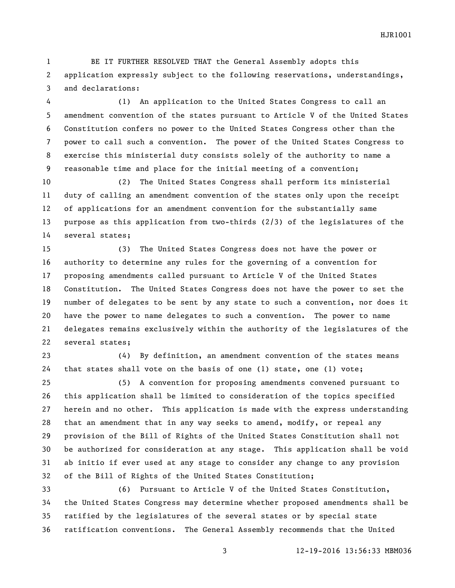BE IT FURTHER RESOLVED THAT the General Assembly adopts this application expressly subject to the following reservations, understandings, and declarations:

 (1) An application to the United States Congress to call an amendment convention of the states pursuant to Article V of the United States Constitution confers no power to the United States Congress other than the power to call such a convention. The power of the United States Congress to exercise this ministerial duty consists solely of the authority to name a reasonable time and place for the initial meeting of a convention;

 (2) The United States Congress shall perform its ministerial duty of calling an amendment convention of the states only upon the receipt of applications for an amendment convention for the substantially same purpose as this application from two-thirds (2/3) of the legislatures of the several states;

 (3) The United States Congress does not have the power or authority to determine any rules for the governing of a convention for proposing amendments called pursuant to Article V of the United States Constitution. The United States Congress does not have the power to set the number of delegates to be sent by any state to such a convention, nor does it have the power to name delegates to such a convention. The power to name delegates remains exclusively within the authority of the legislatures of the several states;

 (4) By definition, an amendment convention of the states means that states shall vote on the basis of one (1) state, one (1) vote;

 (5) A convention for proposing amendments convened pursuant to this application shall be limited to consideration of the topics specified herein and no other. This application is made with the express understanding that an amendment that in any way seeks to amend, modify, or repeal any provision of the Bill of Rights of the United States Constitution shall not be authorized for consideration at any stage. This application shall be void ab initio if ever used at any stage to consider any change to any provision of the Bill of Rights of the United States Constitution;

 (6) Pursuant to Article V of the United States Constitution, the United States Congress may determine whether proposed amendments shall be ratified by the legislatures of the several states or by special state ratification conventions. The General Assembly recommends that the United